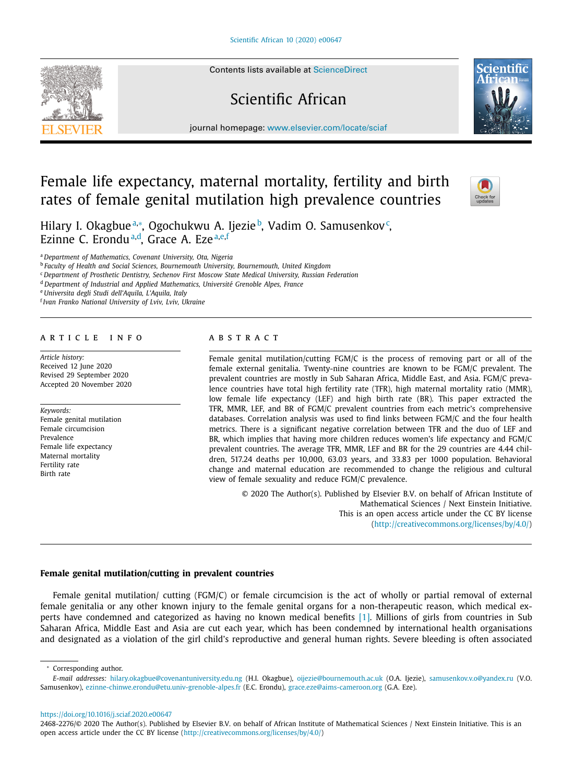Contents lists available at [ScienceDirect](http://www.ScienceDirect.com)

# Scientific African

journal homepage: [www.elsevier.com/locate/sciaf](http://www.elsevier.com/locate/sciaf)

# Female life expectancy, maternal mortality, fertility and birth rates of female genital mutilation high prevalence countries

Hilary I. Okagbue≟\*, Ogochukwu A. Ijezie♭, Vadim O. Samusenkov<sup>c</sup>, Ezinne C. Erondu<sup>a,d</sup>, Grace A. Eze<sup>a,e,f</sup>

<sup>a</sup> *Department of Mathematics, Covenant University, Ota, Nigeria*

<sup>b</sup> *Faculty of Health and Social Sciences, Bournemouth University, Bournemouth, United Kingdom*

<sup>c</sup> *Department of Prosthetic Dentistry, Sechenov First Moscow State Medical University, Russian Federation*

<sup>d</sup> *Department of Industrial and Applied Mathematics, Université Grenoble Alpes, France*

<sup>e</sup> *Universita degli Studi dell'Aquila, L'Aquila, Italy*

<sup>f</sup> *Ivan Franko National University of Lviv, Lviv, Ukraine*

### a r t i c l e i n f o

*Article history:* Received 12 June 2020 Revised 29 September 2020 Accepted 20 November 2020

*Keywords:* Female genital mutilation Female circumcision Prevalence Female life expectancy Maternal mortality Fertility rate Birth rate

# a b s t r a c t

Female genital mutilation/cutting FGM/C is the process of removing part or all of the female external genitalia. Twenty-nine countries are known to be FGM/C prevalent. The prevalent countries are mostly in Sub Saharan Africa, Middle East, and Asia. FGM/C prevalence countries have total high fertility rate (TFR), high maternal mortality ratio (MMR), low female life expectancy (LEF) and high birth rate (BR). This paper extracted the TFR, MMR, LEF, and BR of FGM/C prevalent countries from each metric's comprehensive databases. Correlation analysis was used to find links between FGM/C and the four health metrics. There is a significant negative correlation between TFR and the duo of LEF and BR, which implies that having more children reduces women's life expectancy and FGM/C prevalent countries. The average TFR, MMR, LEF and BR for the 29 countries are 4.44 children, 517.24 deaths per 10,000, 63.03 years, and 33.83 per 1000 population. Behavioral change and maternal education are recommended to change the religious and cultural view of female sexuality and reduce FGM/C prevalence.

© 2020 The Author(s). Published by Elsevier B.V. on behalf of African Institute of Mathematical Sciences / Next Einstein Initiative. This is an open access article under the CC BY license [\(http://creativecommons.org/licenses/by/4.0/\)](http://creativecommons.org/licenses/by/4.0/)

#### **Female genital mutilation/cutting in prevalent countries**

Female genital mutilation/ cutting (FGM/C) or female circumcision is the act of wholly or partial removal of external female genitalia or any other known injury to the female genital organs for a non-therapeutic reason, which medical experts have condemned and categorized as having no known medical benefits [\[1\].](#page-3-0) Millions of girls from countries in Sub Saharan Africa, Middle East and Asia are cut each year, which has been condemned by international health organisations and designated as a violation of the girl child's reproductive and general human rights. Severe bleeding is often associated

<https://doi.org/10.1016/j.sciaf.2020.e00647>







<sup>∗</sup> Corresponding author.

*E-mail addresses:* [hilary.okagbue@covenantuniversity.edu.ng](mailto:hilary.okagbue@covenantuniversity.edu.ng) (H.I. Okagbue), [oijezie@bournemouth.ac.uk](mailto:oijezie@bournemouth.ac.uk) (O.A. Ijezie), [samusenkov.v.o@yandex.ru](mailto:samusenkov.v.o@yandex.ru) (V.O. Samusenkov), [ezinne-chinwe.erondu@etu.univ-grenoble-alpes.fr](mailto:ezinne-chinwe.erondu@etu.univ-grenoble-alpes.fr) (E.C. Erondu), [grace.eze@aims-cameroon.org](mailto:grace.eze@aims-cameroon.org) (G.A. Eze).

<sup>2468-2276/© 2020</sup> The Author(s). Published by Elsevier B.V. on behalf of African Institute of Mathematical Sciences / Next Einstein Initiative. This is an open access article under the CC BY license [\(http://creativecommons.org/licenses/by/4.0/\)](http://creativecommons.org/licenses/by/4.0/)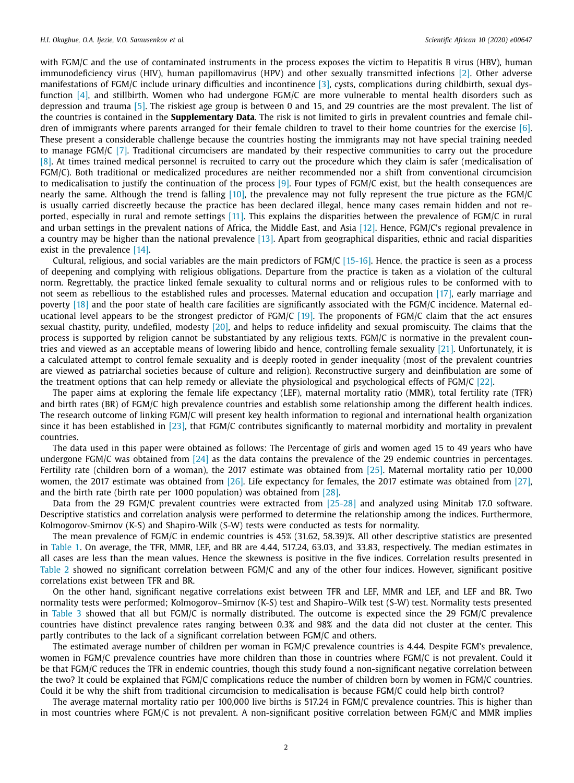with FGM/C and the use of contaminated instruments in the process exposes the victim to Hepatitis B virus (HBV), human immunodeficiency virus (HIV), human papillomavirus (HPV) and other sexually transmitted infections [\[2\].](#page-3-0) Other adverse manifestations of FGM/C include urinary difficulties and incontinence [\[3\],](#page-3-0) cysts, complications during childbirth, sexual dysfunction [\[4\],](#page-3-0) and stillbirth. Women who had undergone FGM/C are more vulnerable to mental health disorders such as depression and trauma [\[5\].](#page-3-0) The riskiest age group is between 0 and 15, and 29 countries are the most prevalent. The list of the countries is contained in the **Supplementary Data**. The risk is not limited to girls in prevalent countries and female chil-dren of immigrants where parents arranged for their female children to travel to their home countries for the exercise [\[6\].](#page-3-0) These present a considerable challenge because the countries hosting the immigrants may not have special training needed to manage FGM/C [\[7\].](#page-3-0) Traditional circumcisers are mandated by their respective communities to carry out the procedure [\[8\].](#page-3-0) At times trained medical personnel is recruited to carry out the procedure which they claim is safer (medicalisation of FGM/C). Both traditional or medicalized procedures are neither recommended nor a shift from conventional circumcision to medicalisation to justify the continuation of the process [\[9\].](#page-3-0) Four types of FGM/C exist, but the health consequences are nearly the same. Although the trend is falling  $[10]$ , the prevalence may not fully represent the true picture as the FGM/C is usually carried discreetly because the practice has been declared illegal, hence many cases remain hidden and not reported, especially in rural and remote settings [\[11\].](#page-3-0) This explains the disparities between the prevalence of FGM/C in rural and urban settings in the prevalent nations of Africa, the Middle East, and Asia [\[12\].](#page-3-0) Hence, FGM/C's regional prevalence in a country may be higher than the national prevalence [\[13\].](#page-3-0) Apart from geographical disparities, ethnic and racial disparities exist in the prevalence [\[14\].](#page-3-0)

Cultural, religious, and social variables are the main predictors of FGM/C [\[15-16\].](#page-3-0) Hence, the practice is seen as a process of deepening and complying with religious obligations. Departure from the practice is taken as a violation of the cultural norm. Regrettably, the practice linked female sexuality to cultural norms and or religious rules to be conformed with to not seem as rebellious to the established rules and processes. Maternal education and occupation [\[17\],](#page-4-0) early marriage and poverty [\[18\]](#page-4-0) and the poor state of health care facilities are significantly associated with the FGM/C incidence. Maternal educational level appears to be the strongest predictor of FGM/C  $[19]$ . The proponents of FGM/C claim that the act ensures sexual chastity, purity, undefiled, modesty [\[20\],](#page-4-0) and helps to reduce infidelity and sexual promiscuity. The claims that the process is supported by religion cannot be substantiated by any religious texts. FGM/C is normative in the prevalent countries and viewed as an acceptable means of lowering libido and hence, controlling female sexuality [\[21\].](#page-4-0) Unfortunately, it is a calculated attempt to control female sexuality and is deeply rooted in gender inequality (most of the prevalent countries are viewed as patriarchal societies because of culture and religion). Reconstructive surgery and deinfibulation are some of the treatment options that can help remedy or alleviate the physiological and psychological effects of FGM/C [\[22\].](#page-4-0)

The paper aims at exploring the female life expectancy (LEF), maternal mortality ratio (MMR), total fertility rate (TFR) and birth rates (BR) of FGM/C high prevalence countries and establish some relationship among the different health indices. The research outcome of linking FGM/C will present key health information to regional and international health organization since it has been established in  $[23]$ , that FGM/C contributes significantly to maternal morbidity and mortality in prevalent countries.

The data used in this paper were obtained as follows: The Percentage of girls and women aged 15 to 49 years who have undergone FGM/C was obtained from  $[24]$  as the data contains the prevalence of the 29 endemic countries in percentages. Fertility rate (children born of a woman), the 2017 estimate was obtained from [\[25\].](#page-4-0) Maternal mortality ratio per 10,000 women, the 2017 estimate was obtained from [\[26\].](#page-4-0) Life expectancy for females, the 2017 estimate was obtained from [\[27\],](#page-4-0) and the birth rate (birth rate per 1000 population) was obtained from [\[28\].](#page-4-0)

Data from the 29 FGM/C prevalent countries were extracted from [\[25-28\]](#page-4-0) and analyzed using Minitab 17.0 software. Descriptive statistics and correlation analysis were performed to determine the relationship among the indices. Furthermore, Kolmogorov-Smirnov (K-S) and Shapiro-Wilk (S-W) tests were conducted as tests for normality.

The mean prevalence of FGM/C in endemic countries is 45% (31.62, 58.39)%. All other descriptive statistics are presented in [Table](#page-2-0) 1. On average, the TFR, MMR, LEF, and BR are 4.44, 517.24, 63.03, and 33.83, respectively. The median estimates in all cases are less than the mean values. Hence the skewness is positive in the five indices. Correlation results presented in [Table](#page-2-0) 2 showed no significant correlation between FGM/C and any of the other four indices. However, significant positive correlations exist between TFR and BR.

On the other hand, significant negative correlations exist between TFR and LEF, MMR and LEF, and LEF and BR. Two normality tests were performed; Kolmogorov–Smirnov (K-S) test and Shapiro–Wilk test (S-W) test. Normality tests presented in [Table](#page-2-0) 3 showed that all but FGM/C is normally distributed. The outcome is expected since the 29 FGM/C prevalence countries have distinct prevalence rates ranging between 0.3% and 98% and the data did not cluster at the center. This partly contributes to the lack of a significant correlation between FGM/C and others.

The estimated average number of children per woman in FGM/C prevalence countries is 4.44. Despite FGM's prevalence, women in FGM/C prevalence countries have more children than those in countries where FGM/C is not prevalent. Could it be that FGM/C reduces the TFR in endemic countries, though this study found a non-significant negative correlation between the two? It could be explained that FGM/C complications reduce the number of children born by women in FGM/C countries. Could it be why the shift from traditional circumcision to medicalisation is because FGM/C could help birth control?

The average maternal mortality ratio per 100,000 live births is 517.24 in FGM/C prevalence countries. This is higher than in most countries where FGM/C is not prevalent. A non-significant positive correlation between FGM/C and MMR implies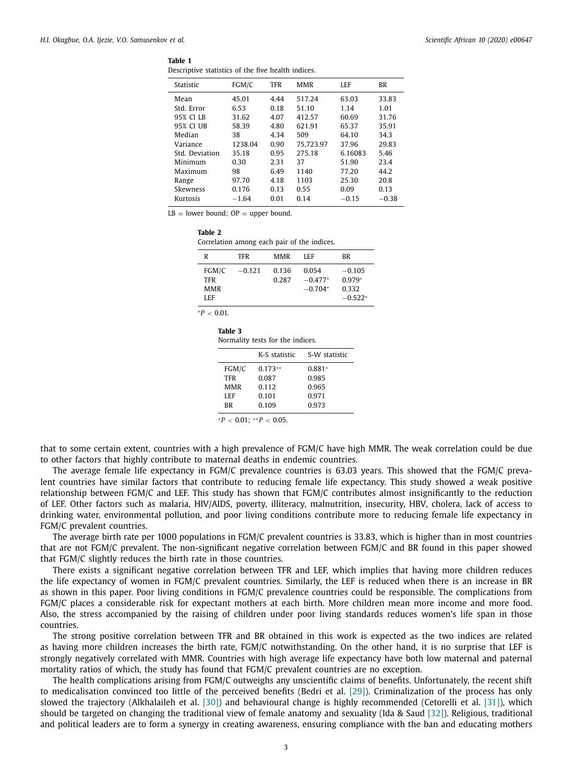<span id="page-2-0"></span>

Descriptive statistics of the five health indices.

| Statistic      | FGM/C   | <b>TFR</b> | <b>MMR</b> | LEF     | <b>BR</b> |
|----------------|---------|------------|------------|---------|-----------|
| Mean           | 45.01   | 4.44       | 517.24     | 63.03   | 33.83     |
| Std. Error     | 6.53    | 0.18       | 51.10      | 1.14    | 1.01      |
| 95% CI LB      | 31.62   | 4.07       | 412.57     | 60.69   | 31.76     |
| 95% CI UB      | 58.39   | 4.80       | 621.91     | 65.37   | 35.91     |
| Median         | 38      | 4.34       | 509        | 64.10   | 34.3      |
| Variance       | 1238.04 | 0.90       | 75.723.97  | 37.96   | 29.83     |
| Std. Deviation | 35.18   | 0.95       | 275.18     | 6.16083 | 5.46      |
| Minimum        | 0.30    | 2.31       | 37         | 51.90   | 23.4      |
| Maximum        | 98      | 6.49       | 1140       | 77.20   | 44.2      |
| Range          | 97.70   | 4.18       | 1103       | 25.30   | 20.8      |
| Skewness       | 0.176   | 0.13       | 0.55       | 0.09    | 0.13      |
| Kurtosis       | $-1.64$ | 0.01       | 0.14       | $-0.15$ | $-0.38$   |

 $LB = lower bound$ ;  $OP = upper bound$ .

| iavit 4 |            | Correlation among each pair of the indices. |      |    |
|---------|------------|---------------------------------------------|------|----|
| R       | <b>TFR</b> | MMR                                         | I FF | ВR |

| FGM/C<br>TFR<br><b>MMR</b><br>LEF | $-0.121$ | 0.136<br>0.287 | 0.054<br>$-0.477*$<br>$-0.704*$ | $-0.105$<br>$0.979*$<br>0.332<br>$-0.522*$ |
|-----------------------------------|----------|----------------|---------------------------------|--------------------------------------------|
|                                   |          |                |                                 |                                            |

<sup>∗</sup>*P* < 0.01.

**Table 2**

| Table 3                          |  |  |
|----------------------------------|--|--|
| Normality tests for the indices. |  |  |

|            | K-S statistic | S-W statistic |
|------------|---------------|---------------|
| FGM/C      | $0.173**$     | $0.881*$      |
| <b>TFR</b> | 0.087         | 0.985         |
| <b>MMR</b> | 0.112         | 0.965         |
| LEF        | 0.101         | 0.971         |
| <b>BR</b>  | 0.109         | 0.973         |
|            |               |               |

 $*P < 0.01$ ;  $*P < 0.05$ .

that to some certain extent, countries with a high prevalence of FGM/C have high MMR. The weak correlation could be due to other factors that highly contribute to maternal deaths in endemic countries.

The average female life expectancy in FGM/C prevalence countries is 63.03 years. This showed that the FGM/C prevalent countries have similar factors that contribute to reducing female life expectancy. This study showed a weak positive relationship between FGM/C and LEF. This study has shown that FGM/C contributes almost insignificantly to the reduction of LEF. Other factors such as malaria, HIV/AIDS, poverty, illiteracy, malnutrition, insecurity, HBV, cholera, lack of access to drinking water, environmental pollution, and poor living conditions contribute more to reducing female life expectancy in FGM/C prevalent countries.

The average birth rate per 1000 populations in FGM/C prevalent countries is 33.83, which is higher than in most countries that are not FGM/C prevalent. The non-significant negative correlation between FGM/C and BR found in this paper showed that FGM/C slightly reduces the birth rate in those countries.

There exists a significant negative correlation between TFR and LEF, which implies that having more children reduces the life expectancy of women in FGM/C prevalent countries. Similarly, the LEF is reduced when there is an increase in BR as shown in this paper. Poor living conditions in FGM/C prevalence countries could be responsible. The complications from FGM/C places a considerable risk for expectant mothers at each birth. More children mean more income and more food. Also, the stress accompanied by the raising of children under poor living standards reduces women's life span in those countries.

The strong positive correlation between TFR and BR obtained in this work is expected as the two indices are related as having more children increases the birth rate, FGM/C notwithstanding. On the other hand, it is no surprise that LEF is strongly negatively correlated with MMR. Countries with high average life expectancy have both low maternal and paternal mortality ratios of which, the study has found that FGM/C prevalent countries are no exception.

The health complications arising from FGM/C outweighs any unscientific claims of benefits. Unfortunately, the recent shift to medicalisation convinced too little of the perceived benefits (Bedri et al. [\[29\]\)](#page-4-0). Criminalization of the process has only slowed the trajectory (Alkhalaileh et al. [\[30\]\)](#page-4-0) and behavioural change is highly recommended (Cetorelli et al. [\[31\]\)](#page-4-0), which should be targeted on changing the traditional view of female anatomy and sexuality (Ida & Saud [\[32\]\)](#page-4-0). Religious, traditional and political leaders are to form a synergy in creating awareness, ensuring compliance with the ban and educating mothers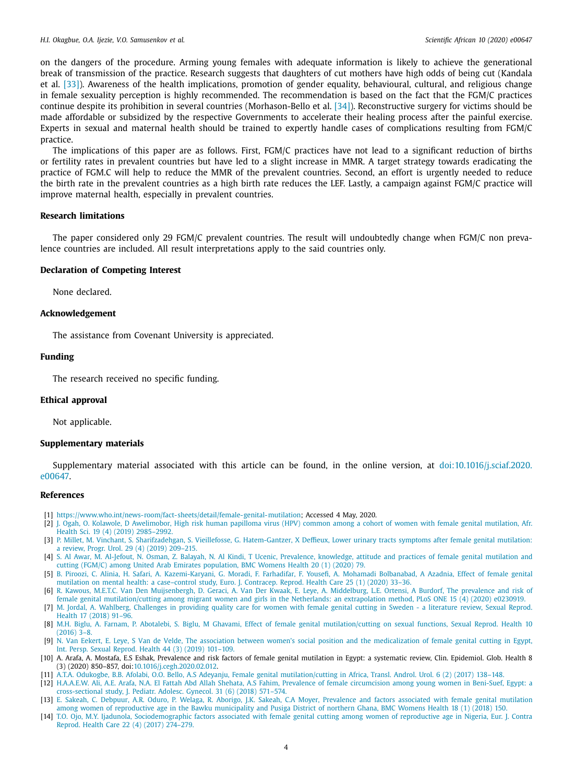<span id="page-3-0"></span>on the dangers of the procedure. Arming young females with adequate information is likely to achieve the generational break of transmission of the practice. Research suggests that daughters of cut mothers have high odds of being cut (Kandala et al. [\[33\]\)](#page-4-0). Awareness of the health implications, promotion of gender equality, behavioural, cultural, and religious change in female sexuality perception is highly recommended. The recommendation is based on the fact that the FGM/C practices continue despite its prohibition in several countries (Morhason-Bello et al. [\[34\]\)](#page-4-0). Reconstructive surgery for victims should be made affordable or subsidized by the respective Governments to accelerate their healing process after the painful exercise. Experts in sexual and maternal health should be trained to expertly handle cases of complications resulting from FGM/C practice.

The implications of this paper are as follows. First, FGM/C practices have not lead to a significant reduction of births or fertility rates in prevalent countries but have led to a slight increase in MMR. A target strategy towards eradicating the practice of FGM.C will help to reduce the MMR of the prevalent countries. Second, an effort is urgently needed to reduce the birth rate in the prevalent countries as a high birth rate reduces the LEF. Lastly, a campaign against FGM/C practice will improve maternal health, especially in prevalent countries.

#### **Research limitations**

The paper considered only 29 FGM/C prevalent countries. The result will undoubtedly change when FGM/C non prevalence countries are included. All result interpretations apply to the said countries only.

#### **Declaration of Competing Interest**

None declared.

## **Acknowledgement**

The assistance from Covenant University is appreciated.

# **Funding**

The research received no specific funding.

#### **Ethical approval**

Not applicable.

#### **Supplementary materials**

Supplementary material associated with this article can be found, in the online version, at [doi:10.1016/j.sciaf.2020.](https://doi.org/10.1016/j.sciaf.2020.e00647) e00647.

## **References**

- [1] [https://www.who.int/news-room/fact-sheets/detail/female-genital-mutilation;](https://www.who.int/news-room/fact-sheets/detail/female-genital-mutilation) Accessed 4 May, 2020.
- [2] J. [Ogah,](http://refhub.elsevier.com/S2468-2276(20)30383-5/sbref0002) O. [Kolawole,](http://refhub.elsevier.com/S2468-2276(20)30383-5/sbref0002) D [Awelimobor,](http://refhub.elsevier.com/S2468-2276(20)30383-5/sbref0002) High risk human papilloma virus (HPV) common among a cohort of women with female genital mutilation, Afr. Health Sci. 19 (4) (2019) 2985–2992.
- [3] P. [Millet,](http://refhub.elsevier.com/S2468-2276(20)30383-5/sbref0003) M. [Vinchant,](http://refhub.elsevier.com/S2468-2276(20)30383-5/sbref0003) S. [Sharifzadehgan,](http://refhub.elsevier.com/S2468-2276(20)30383-5/sbref0003) S. [Vieillefosse,](http://refhub.elsevier.com/S2468-2276(20)30383-5/sbref0003) G. [Hatem-Gantzer,](http://refhub.elsevier.com/S2468-2276(20)30383-5/sbref0003) X [Deffieux,](http://refhub.elsevier.com/S2468-2276(20)30383-5/sbref0003) Lower urinary tracts symptoms after female genital mutilation: a review, Progr. Urol. 29 (4) (2019) 209–215.
- [4] S. Al [Awar,](http://refhub.elsevier.com/S2468-2276(20)30383-5/sbref0004) M. [Al-Jefout,](http://refhub.elsevier.com/S2468-2276(20)30383-5/sbref0004) N. [Osman,](http://refhub.elsevier.com/S2468-2276(20)30383-5/sbref0004) Z. [Balayah,](http://refhub.elsevier.com/S2468-2276(20)30383-5/sbref0004) N. Al [Kindi,](http://refhub.elsevier.com/S2468-2276(20)30383-5/sbref0004) T [Ucenic,](http://refhub.elsevier.com/S2468-2276(20)30383-5/sbref0004) Prevalence, [knowledge,](http://refhub.elsevier.com/S2468-2276(20)30383-5/sbref0004) attitude and practices of female genital mutilation and cutting (FGM/C) among United Arab Emirates population, BMC Womens Health 20 (1) (2020) 79.
- [5] B. [Piroozi,](http://refhub.elsevier.com/S2468-2276(20)30383-5/sbref0005) C. [Alinia,](http://refhub.elsevier.com/S2468-2276(20)30383-5/sbref0005) H. [Safari,](http://refhub.elsevier.com/S2468-2276(20)30383-5/sbref0005) A. [Kazemi-Karyani,](http://refhub.elsevier.com/S2468-2276(20)30383-5/sbref0005) G. [Moradi,](http://refhub.elsevier.com/S2468-2276(20)30383-5/sbref0005) F. [Farhadifar,](http://refhub.elsevier.com/S2468-2276(20)30383-5/sbref0005) F. [Yousefi,](http://refhub.elsevier.com/S2468-2276(20)30383-5/sbref0005) A. Mohamadi [Bolbanabad,](http://refhub.elsevier.com/S2468-2276(20)30383-5/sbref0005) A [Azadnia,](http://refhub.elsevier.com/S2468-2276(20)30383-5/sbref0005) Effect of female genital mutilation on mental health: a case–control study, Euro. J. Contracep. Reprod. Health Care 25 (1) (2020) 33–36.
- [6] R. [Kawous,](http://refhub.elsevier.com/S2468-2276(20)30383-5/sbref0006) M.E.T.C. Van Den [Muijsenbergh,](http://refhub.elsevier.com/S2468-2276(20)30383-5/sbref0006) D. [Geraci,](http://refhub.elsevier.com/S2468-2276(20)30383-5/sbref0006) A. Van Der [Kwaak,](http://refhub.elsevier.com/S2468-2276(20)30383-5/sbref0006) E. [Leye,](http://refhub.elsevier.com/S2468-2276(20)30383-5/sbref0006) A. [Middelburg,](http://refhub.elsevier.com/S2468-2276(20)30383-5/sbref0006) L.E. [Ortensi,](http://refhub.elsevier.com/S2468-2276(20)30383-5/sbref0006) A [Burdorf,](http://refhub.elsevier.com/S2468-2276(20)30383-5/sbref0006) The prevalence and risk of female genital [mutilation/cutting](http://refhub.elsevier.com/S2468-2276(20)30383-5/sbref0006) among migrant women and girls in the Netherlands: an extrapolation method, PLoS ONE 15 (4) (2020) e0230919.
- [7] M. [Jordal,](http://refhub.elsevier.com/S2468-2276(20)30383-5/sbref0007) A. [Wahlberg,](http://refhub.elsevier.com/S2468-2276(20)30383-5/sbref0007) [Challenges](http://refhub.elsevier.com/S2468-2276(20)30383-5/sbref0007) in providing quality care for women with female genital cutting in Sweden a literature review, Sexual Reprod. Health 17 (2018) 91–96.
- [8] M.H. [Biglu,](http://refhub.elsevier.com/S2468-2276(20)30383-5/sbref0008) A. [Farnam,](http://refhub.elsevier.com/S2468-2276(20)30383-5/sbref0008) P. [Abotalebi,](http://refhub.elsevier.com/S2468-2276(20)30383-5/sbref0008) S. [Biglu,](http://refhub.elsevier.com/S2468-2276(20)30383-5/sbref0008) M [Ghavami,](http://refhub.elsevier.com/S2468-2276(20)30383-5/sbref0008) Effect of female genital [mutilation/cutting](http://refhub.elsevier.com/S2468-2276(20)30383-5/sbref0008) on sexual functions, Sexual Reprod. Health 10  $(2016)$  3-8.
- [9] N. Van [Eekert,](http://refhub.elsevier.com/S2468-2276(20)30383-5/sbref0009) E. [Leye,](http://refhub.elsevier.com/S2468-2276(20)30383-5/sbref0009) S Van de [Velde,](http://refhub.elsevier.com/S2468-2276(20)30383-5/sbref0009) The association between women's social position and the [medicalization](http://refhub.elsevier.com/S2468-2276(20)30383-5/sbref0009) of female genital cutting in Egypt, Int. Persp. Sexual Reprod. Health 44 (3) (2019) 101–109.
- [10] A. Arafa, A. Mostafa, E.S Eshak, Prevalence and risk factors of female genital mutilation in Egypt: a systematic review, Clin. Epidemiol. Glob. Health 8 (3) (2020) 850–857, doi[:10.1016/j.cegh.2020.02.012.](https://doi.org/10.1016/j.cegh.2020.02.012)
- [11] A.T.A. [Odukogbe,](http://refhub.elsevier.com/S2468-2276(20)30383-5/sbref0011) B.B. [Afolabi,](http://refhub.elsevier.com/S2468-2276(20)30383-5/sbref0011) O.O. [Bello,](http://refhub.elsevier.com/S2468-2276(20)30383-5/sbref0011) A.S [Adeyanju,](http://refhub.elsevier.com/S2468-2276(20)30383-5/sbref0011) Female genital [mutilation/cutting](http://refhub.elsevier.com/S2468-2276(20)30383-5/sbref0011) in Africa, Transl. Androl. Urol. 6 (2) (2017) 138–148.
- [12] [H.A.A.E.W.](http://refhub.elsevier.com/S2468-2276(20)30383-5/sbref0012) Ali, A.E. [Arafa,](http://refhub.elsevier.com/S2468-2276(20)30383-5/sbref0012) N.A. El Fattah Abd Allah [Shehata,](http://refhub.elsevier.com/S2468-2276(20)30383-5/sbref0012) A.S [Fahim, Prevalence](http://refhub.elsevier.com/S2468-2276(20)30383-5/sbref0012) of female circumcision among young women in Beni-Suef, Egypt: a cross-sectional study, J. Pediatr. Adolesc. Gynecol. 31 (6) (2018) 571–574.
- [13] E. [Sakeah,](http://refhub.elsevier.com/S2468-2276(20)30383-5/sbref0013) C. [Debpuur,](http://refhub.elsevier.com/S2468-2276(20)30383-5/sbref0013) A.R. [Oduro,](http://refhub.elsevier.com/S2468-2276(20)30383-5/sbref0013) P. [Welaga,](http://refhub.elsevier.com/S2468-2276(20)30383-5/sbref0013) R. [Aborigo,](http://refhub.elsevier.com/S2468-2276(20)30383-5/sbref0013) J.K. [Sakeah,](http://refhub.elsevier.com/S2468-2276(20)30383-5/sbref0013) C.A [Moyer,](http://refhub.elsevier.com/S2468-2276(20)30383-5/sbref0013) Prevalence and factors associated with female genital mutilation among women of [reproductive](http://refhub.elsevier.com/S2468-2276(20)30383-5/sbref0013) age in the Bawku municipality and Pusiga District of northern Ghana, BMC Womens Health 18 (1) (2018) 150.
- [14] T.O. [Ojo,](http://refhub.elsevier.com/S2468-2276(20)30383-5/sbref0014) M.Y. [Ijadunola,](http://refhub.elsevier.com/S2468-2276(20)30383-5/sbref0014) [Sociodemographic](http://refhub.elsevier.com/S2468-2276(20)30383-5/sbref0014) factors associated with female genital cutting among women of reproductive age in Nigeria, Eur. J. Contra Reprod. Health Care 22 (4) (2017) 274–279.